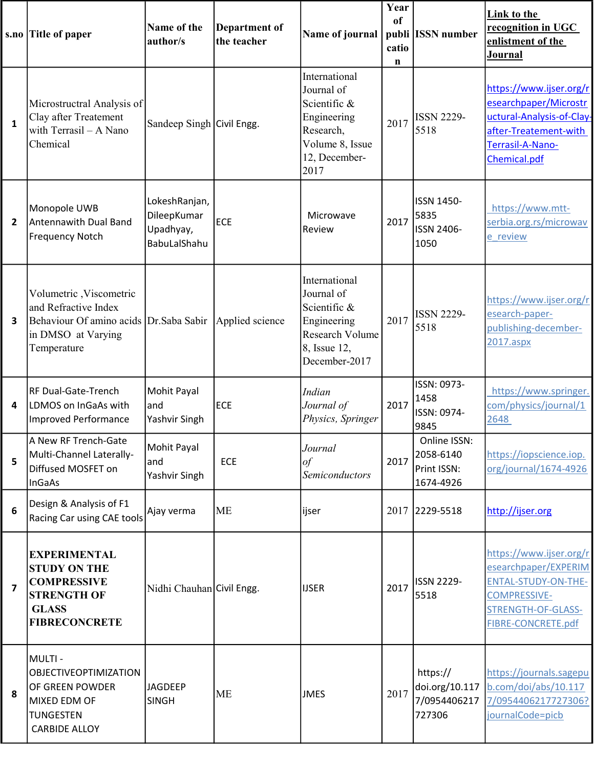|                         | s.no Title of paper                                                                                                                              | Name of the<br>author/s                                   | <b>Department of</b><br>the teacher | Name of journal                                                                                                     | Year<br><sub>of</sub><br>catio<br>n | publi ISSN number                                     | <b>Link to the</b><br>recognition in UGC<br>enlistment of the<br>Journal                                                                         |
|-------------------------|--------------------------------------------------------------------------------------------------------------------------------------------------|-----------------------------------------------------------|-------------------------------------|---------------------------------------------------------------------------------------------------------------------|-------------------------------------|-------------------------------------------------------|--------------------------------------------------------------------------------------------------------------------------------------------------|
| $\mathbf{1}$            | Microstructral Analysis of<br>Clay after Treatement<br>with Terrasil $- A$ Nano<br>Chemical                                                      | Sandeep Singh Civil Engg.                                 |                                     | International<br>Journal of<br>Scientific &<br>Engineering<br>Research,<br>Volume 8, Issue<br>12, December-<br>2017 | 2017                                | <b>ISSN 2229-</b><br>5518                             | https://www.ijser.org/r<br>esearchpaper/Microstr<br>uctural-Analysis-of-Clay-<br>after-Treatement-with<br>Terrasil-A-Nano-<br>Chemical.pdf       |
| $\overline{2}$          | Monopole UWB<br>Antennawith Dual Band<br><b>Frequency Notch</b>                                                                                  | LokeshRanjan,<br>DileepKumar<br>Upadhyay,<br>BabuLalShahu | ECE                                 | Microwave<br>Review                                                                                                 | 2017                                | ISSN 1450-<br>5835<br><b>ISSN 2406-</b><br>1050       | https://www.mtt-<br>serbia.org.rs/microwav<br>e review                                                                                           |
| 3                       | Volumetric , Viscometric<br>and Refractive Index<br>Behaviour Of amino acids Dr. Saba Sabir Applied science<br>in DMSO at Varying<br>Temperature |                                                           |                                     | International<br>Journal of<br>Scientific &<br>Engineering<br>Research Volume<br>8, Issue 12,<br>December-2017      | 2017                                | <b>ISSN 2229-</b><br>5518                             | https://www.ijser.org/r<br>esearch-paper-<br>publishing-december-<br>2017.aspx                                                                   |
| 4                       | <b>RF Dual-Gate-Trench</b><br>LDMOS on InGaAs with<br><b>Improved Performance</b>                                                                | Mohit Payal<br>and<br>Yashvir Singh                       | <b>ECE</b>                          | Indian<br>Journal of<br>Physics, Springer                                                                           | 2017                                | ISSN: 0973-<br>1458<br>ISSN: 0974-<br>9845            | https://www.springer.<br>com/physics/journal/1<br>2648                                                                                           |
| 5                       | A New RF Trench-Gate<br>Multi-Channel Laterally-<br>Diffused MOSFET on<br>InGaAs                                                                 | Mohit Payal<br>and<br>Yashvir Singh                       | ECE                                 | Journal<br>$\iota$<br><b>Semiconductors</b>                                                                         | 2017                                | Online ISSN:<br>2058-6140<br>Print ISSN:<br>1674-4926 | https://iopscience.iop.<br>org/journal/1674-4926                                                                                                 |
| 6                       | Design & Analysis of F1<br>Racing Car using CAE tools                                                                                            | Ajay verma                                                | <b>ME</b>                           | ijser                                                                                                               |                                     | 2017 2229-5518                                        | http://ijser.org                                                                                                                                 |
| $\overline{\mathbf{z}}$ | <b>EXPERIMENTAL</b><br><b>STUDY ON THE</b><br><b>COMPRESSIVE</b><br><b>STRENGTH OF</b><br><b>GLASS</b><br><b>FIBRECONCRETE</b>                   | Nidhi Chauhan Civil Engg.                                 |                                     | <b>IJSER</b>                                                                                                        | 2017                                | <b>ISSN 2229-</b><br>5518                             | https://www.ijser.org/r<br>esearchpaper/EXPERIM<br><b>ENTAL-STUDY-ON-THE-</b><br><b>COMPRESSIVE-</b><br>STRENGTH-OF-GLASS-<br>FIBRE-CONCRETE.pdf |
| 8                       | MULTI-<br><b>OBJECTIVEOPTIMIZATION</b><br>OF GREEN POWDER<br>MIXED EDM OF<br><b>TUNGESTEN</b><br><b>CARBIDE ALLOY</b>                            | <b>JAGDEEP</b><br><b>SINGH</b>                            | <b>ME</b>                           | <b>JMES</b>                                                                                                         | 2017                                | https://<br>doi.org/10.117<br>7/0954406217<br>727306  | https://journals.sagepu<br>b.com/doi/abs/10.117<br>7/0954406217727306?<br>journalCode=picb                                                       |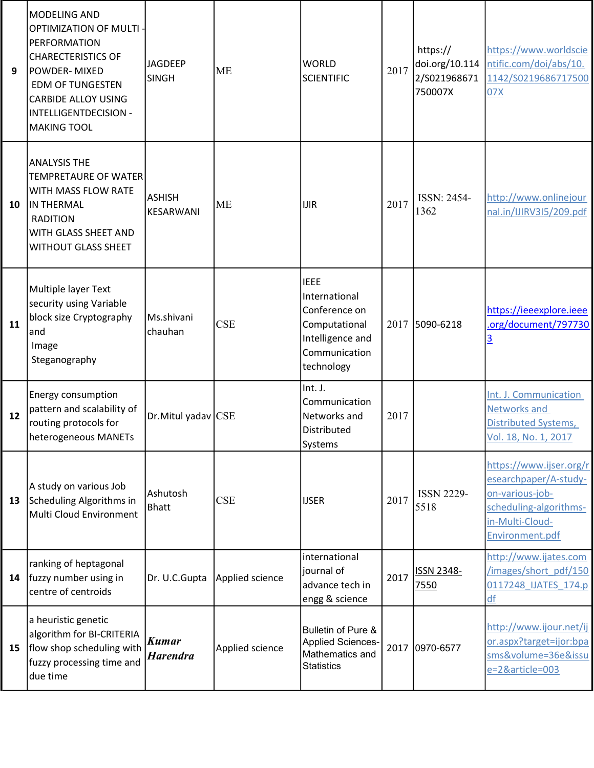| 9  | MODELING AND<br><b>OPTIMIZATION OF MULTI-</b><br>PERFORMATION<br><b>CHARECTERISTICS OF</b><br>POWDER- MIXED<br><b>EDM OF TUNGESTEN</b><br><b>CARBIDE ALLOY USING</b><br>INTELLIGENTDECISION -<br><b>MAKING TOOL</b> | <b>JAGDEEP</b><br><b>SINGH</b> | <b>ME</b>       | <b>WORLD</b><br><b>SCIENTIFIC</b>                                                                                 | 2017 | https://<br>doi.org/10.114<br>2/S021968671<br>750007X | https://www.worldscie<br>ntific.com/doi/abs/10.<br>1142/S0219686717500<br>07X                                                       |
|----|---------------------------------------------------------------------------------------------------------------------------------------------------------------------------------------------------------------------|--------------------------------|-----------------|-------------------------------------------------------------------------------------------------------------------|------|-------------------------------------------------------|-------------------------------------------------------------------------------------------------------------------------------------|
| 10 | <b>ANALYSIS THE</b><br><b>TEMPRETAURE OF WATER</b><br>WITH MASS FLOW RATE<br>IN THERMAL<br><b>RADITION</b><br>WITH GLASS SHEET AND<br><b>WITHOUT GLASS SHEET</b>                                                    | <b>ASHISH</b><br>KESARWANI     | <b>ME</b>       | <b>IJIR</b>                                                                                                       | 2017 | ISSN: 2454-<br>1362                                   | http://www.onlinejour<br>nal.in/IJIRV3I5/209.pdf                                                                                    |
| 11 | Multiple layer Text<br>security using Variable<br>block size Cryptography<br>and<br>Image<br>Steganography                                                                                                          | Ms.shivani<br>chauhan          | <b>CSE</b>      | <b>IEEE</b><br>International<br>Conference on<br>Computational<br>Intelligence and<br>Communication<br>technology |      | 2017 5090-6218                                        | https://ieeexplore.ieee<br>.org/document/797730<br><u>3</u>                                                                         |
| 12 | Energy consumption<br>pattern and scalability of<br>routing protocols for<br>heterogeneous MANETs                                                                                                                   | Dr. Mitul yadav CSE            |                 | Int. J.<br>Communication<br>Networks and<br>Distributed<br>Systems                                                | 2017 |                                                       | Int. J. Communication<br>Networks and<br>Distributed Systems,<br>Vol. 18, No. 1, 2017                                               |
| 13 | A study on various Job<br>Scheduling Algorithms in<br>Multi Cloud Environment                                                                                                                                       | Ashutosh<br><b>Bhatt</b>       | <b>CSE</b>      | <b>IJSER</b>                                                                                                      | 2017 | <b>ISSN 2229-</b><br>5518                             | https://www.ijser.org/r<br>esearchpaper/A-study-<br>on-various-job-<br>scheduling-algorithms-<br>in-Multi-Cloud-<br>Environment.pdf |
| 14 | ranking of heptagonal<br>fuzzy number using in<br>centre of centroids                                                                                                                                               | Dr. U.C.Gupta                  | Applied science | international<br>journal of<br>advance tech in<br>engg & science                                                  | 2017 | <b>ISSN 2348-</b><br>7550                             | http://www.ijates.com<br>/images/short pdf/150<br>0117248 IJATES 174.p<br>df                                                        |
| 15 | a heuristic genetic<br>algorithm for BI-CRITERIA<br>flow shop scheduling with<br>fuzzy processing time and<br>due time                                                                                              | Kumar<br><b>Harendra</b>       | Applied science | Bulletin of Pure &<br>Applied Sciences-<br>Mathematics and<br><b>Statistics</b>                                   |      | 2017 0970-6577                                        | http://www.ijour.net/ij<br>or.aspx?target=ijor:bpa<br>sms&volume=36e&issu<br>e=2&article=003                                        |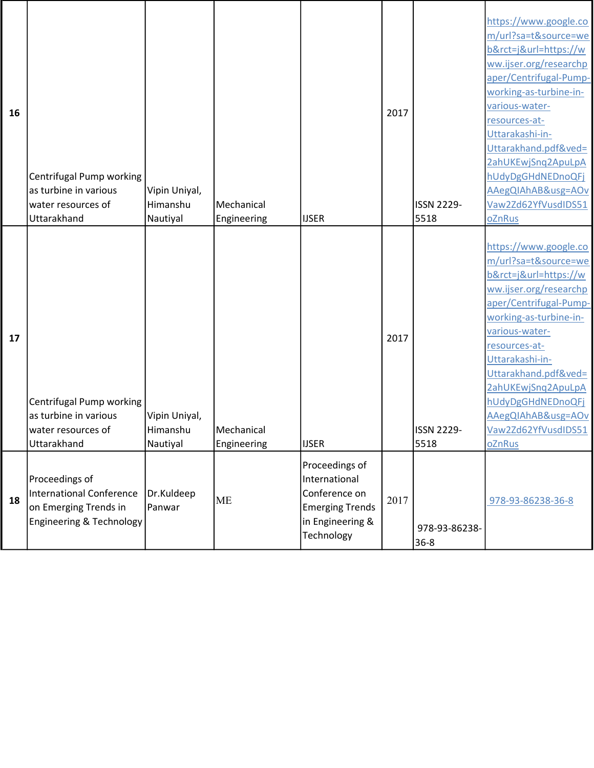| 16 | Centrifugal Pump working<br>as turbine in various<br>water resources of<br>Uttarakhand                     | Vipin Uniyal,<br>Himanshu<br>Nautiyal | Mechanical<br>Engineering | <b>IJSER</b>                                                                                                 | 2017 | <b>ISSN 2229-</b><br>5518 | https://www.google.co<br>m/url?sa=t&source=we<br>b&rct=j&url=https://w<br>ww.ijser.org/researchp<br>aper/Centrifugal-Pump-<br>working-as-turbine-in-<br>various-water-<br>resources-at-<br>Uttarakashi-in-<br>Uttarakhand.pdf&ved=<br>2ahUKEwjSnq2ApuLpA<br>hUdyDgGHdNEDnoQFj<br>AAegQIAhAB&usg=AOv<br>Vaw2Zd62YfVusdIDS51<br>oZnRus |
|----|------------------------------------------------------------------------------------------------------------|---------------------------------------|---------------------------|--------------------------------------------------------------------------------------------------------------|------|---------------------------|--------------------------------------------------------------------------------------------------------------------------------------------------------------------------------------------------------------------------------------------------------------------------------------------------------------------------------------|
| 17 | Centrifugal Pump working<br>as turbine in various<br>water resources of<br>Uttarakhand                     | Vipin Uniyal,<br>Himanshu<br>Nautiyal | Mechanical<br>Engineering | <b>IJSER</b>                                                                                                 | 2017 | <b>ISSN 2229-</b><br>5518 | https://www.google.co<br>m/url?sa=t&source=we<br>b&rct=j&url=https://w<br>ww.ijser.org/researchp<br>aper/Centrifugal-Pump-<br>working-as-turbine-in-<br>various-water-<br>resources-at-<br>Uttarakashi-in-<br>Uttarakhand.pdf&ved=<br>2ahUKEwjSnq2ApuLpA<br>hUdyDgGHdNEDnoQFj<br>AAegQIAhAB&usg=AOv<br>Vaw2Zd62YfVusdIDS51<br>oZnRus |
| 18 | Proceedings of<br>International Conference<br>on Emerging Trends in<br><b>Engineering &amp; Technology</b> | Dr.Kuldeep<br>Panwar                  | <b>ME</b>                 | Proceedings of<br>International<br>Conference on<br><b>Emerging Trends</b><br>in Engineering &<br>Technology | 2017 | 978-93-86238-<br>$36 - 8$ | 978-93-86238-36-8                                                                                                                                                                                                                                                                                                                    |